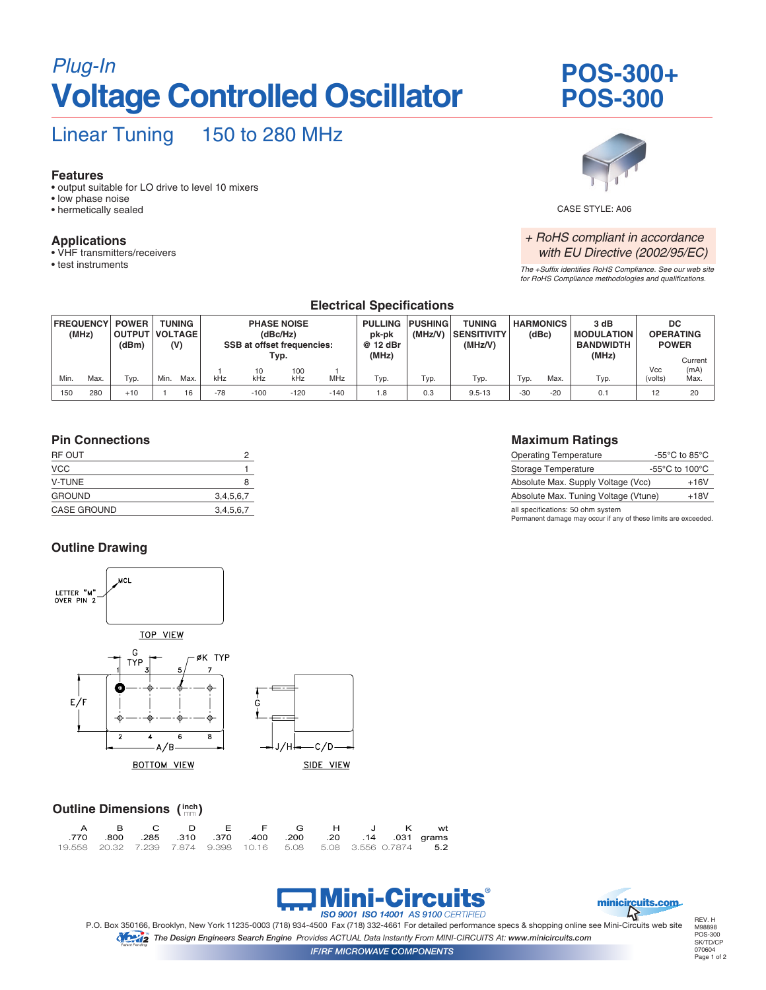## *Plug-In* **POS-300+ Voltage Controlled Oscillator**

# **POS-300**

### Linear Tuning 150 to 280 MHz

#### **Features**

- output suitable for LO drive to level 10 mixers
- low phase noise
- hermetically sealed

#### **Applications**

- VHF transmitters/receivers
- test instruments



CASE STYLE: A06

#### *+ RoHS compliant in accordance with EU Directive (2002/95/EC)*

*The +Suffix identifies RoHS Compliance. See our web site for RoHS Compliance methodologies and qualifications.*

|                           | Electrical Specifications |                                        |                                 |      |                                                                     |           |            |                                      |         |                                         |                           |       |                                                |                                               |            |                 |
|---------------------------|---------------------------|----------------------------------------|---------------------------------|------|---------------------------------------------------------------------|-----------|------------|--------------------------------------|---------|-----------------------------------------|---------------------------|-------|------------------------------------------------|-----------------------------------------------|------------|-----------------|
| <b>FREQUENCY</b><br>(MHz) |                           | <b>POWER</b><br><b>OUTPUT</b><br>(dBm) | TUNING<br><b>VOLTAGE</b><br>(V) |      | <b>PHASE NOISE</b><br>(dBc/Hz)<br><b>SSB at offset frequencies:</b> |           |            | PULLING PUSHING<br>pk-pk<br>@ 12 dBr | (MHz/V) | TUNING<br><b>SENSITIVITY</b><br>(MHz/V) | <b>HARMONICS</b><br>(dBc) |       | 3 dB<br><b>IMODULATION</b><br><b>BANDWIDTH</b> | <b>DC</b><br><b>OPERATING</b><br><b>POWER</b> |            |                 |
|                           |                           |                                        |                                 |      |                                                                     | Typ.      |            |                                      | (MHz)   |                                         |                           |       |                                                | (MHz)                                         | <b>Vcc</b> | Current<br>(mA) |
| Min.                      | Max.                      | Typ.                                   | Min.                            | Max. | kHz                                                                 | 10<br>kHz | 100<br>kHz | MHz                                  | Typ.    | Typ.                                    | Typ.                      | Typ.  | Max.                                           | Typ.                                          | (volts)    | Max.            |
| 150                       | 280                       | $+10$                                  |                                 | 16   | $-78$                                                               | $-100$    | $-120$     | $-140$                               | 1.8     | 0.3                                     | $9.5 - 13$                | $-30$ | $-20$                                          | 0.1                                           | 12         | 20              |

**Electrical Specifications**

#### **Pin Connections**

| RF OUT             |           |
|--------------------|-----------|
| <b>VCC</b>         |           |
| <b>V-TUNE</b>      | 8         |
| <b>GROUND</b>      | 3,4,5,6,7 |
| <b>CASE GROUND</b> | 3,4,5,6,7 |
|                    |           |

#### **Outline Drawing**



#### **Outline Dimensions (inch)**

|  |  | A B C D E F G H J K wt                                 |  |  |                                                                 |
|--|--|--------------------------------------------------------|--|--|-----------------------------------------------------------------|
|  |  | .031 grams 0.31 .310 .370 .400 .200 .20 .14 .031 grams |  |  |                                                                 |
|  |  |                                                        |  |  | 19.558 20.32 7.239 7.874 9.398 10.16 5.08 5.08 3.556 0.7874 5.2 |





P.O. Box 350166, Brooklyn, New York 11235-0003 (718) 934-4500 Fax (718) 332-4661 For detailed performance specs & shopping online see Mini-Circuits web site *The Design Engineers Search Engine Provides ACTUAL Data Instantly From MINI-CIRCUITS At: www.minicircuits.com* TM

REV. H M98898 POS-300 SK/TD/CP 070604 Page 1 of 2

#### **Maximum Ratings**

| <b>Operating Temperature</b>         | -55 $\mathrm{^{\circ}C}$ to 85 $\mathrm{^{\circ}C}$  |
|--------------------------------------|------------------------------------------------------|
| Storage Temperature                  | -55 $\mathrm{^{\circ}C}$ to 100 $\mathrm{^{\circ}C}$ |
| Absolute Max. Supply Voltage (Vcc)   | $+16V$                                               |
| Absolute Max. Tuning Voltage (Vtune) | $+18V$                                               |
| all engeifieatione: 50 ohm evetam    |                                                      |

all specifications: 50 ohm system Permanent damage may occur if any of these limits are exceeded.